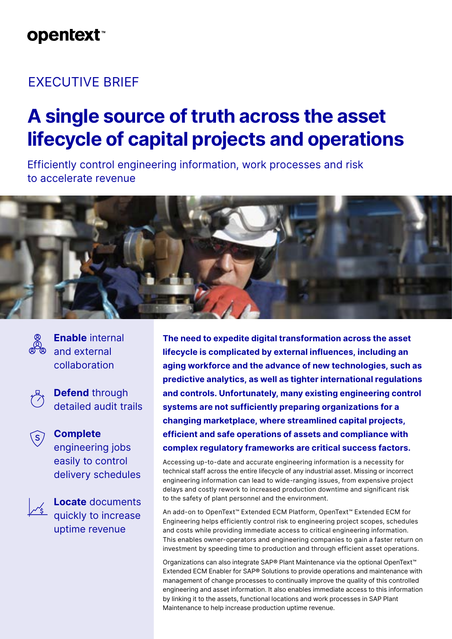## **opentext™**

## EXECUTIVE BRIEF

# **A single source of truth across the asset lifecycle of capital projects and operations**

Efficiently control engineering information, work processes and risk to accelerate revenue





**Enable** internal and external collaboration



**Defend** through detailed audit trails



**Complete** engineering jobs easily to control delivery schedules

> **Locate** documents quickly to increase uptime revenue

**The need to expedite digital transformation across the asset lifecycle is complicated by external influences, including an aging workforce and the advance of new technologies, such as predictive analytics, as well as tighter international regulations and controls. Unfortunately, many existing engineering control systems are not sufficiently preparing organizations for a changing marketplace, where streamlined capital projects, efficient and safe operations of assets and compliance with complex regulatory frameworks are critical success factors.**

Accessing up-to-date and accurate engineering information is a necessity for technical staff across the entire lifecycle of any industrial asset. Missing or incorrect engineering information can lead to wide-ranging issues, from expensive project delays and costly rework to increased production downtime and significant risk to the safety of plant personnel and the environment.

An add-on to OpenText™ Extended ECM Platform, OpenText™ Extended ECM for Engineering helps efficiently control risk to engineering project scopes, schedules and costs while providing immediate access to critical engineering information. This enables owner-operators and engineering companies to gain a faster return on investment by speeding time to production and through efficient asset operations.

Organizations can also integrate SAP® Plant Maintenance via the optional OpenText™ Extended ECM Enabler for SAP® Solutions to provide operations and maintenance with management of change processes to continually improve the quality of this controlled engineering and asset information. It also enables immediate access to this information by linking it to the assets, functional locations and work processes in SAP Plant Maintenance to help increase production uptime revenue.